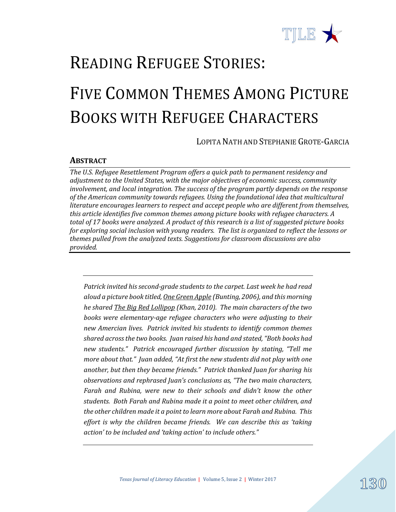

# READING REFUGEE STORIES: FIVE COMMON THEMES AMONG PICTURE BOOKS WITH REFUGEE CHARACTERS

LOPITA NATH AND STEPHANIE GROTE-GARCIA

#### **ABSTRACT**

*The U.S. Refugee Resettlement Program offers a quick path to permanent residency and adjustment to the United States, with the major objectives of economic success, community involvement, and local integration. The success of the program partly depends on the response of the American community towards refugees. Using the foundational idea that multicultural literature encourages learners to respect and accept people who are different from themselves, this article identifies five common themes among picture books with refugee characters. A total of 17 books were analyzed. A product of this research is a list of suggested picture books for exploring social inclusion with young readers. The list is organized to reflect the lessons or themes pulled from the analyzed texts. Suggestions for classroom discussions are also provided.* 

*Patrick invited his second-grade students to the carpet. Last week he had read aloud a picture book titled, One Green Apple (Bunting, 2006), and this morning he shared The Big Red Lollipop (Khan, 2010). The main characters of the two books were elementary-age refugee characters who were adjusting to their new Amercian lives. Patrick invited his students to identify common themes shared across the two books. Juan raised his hand and stated, "Both books had new students." Patrick encouraged further discussion by stating, "Tell me more about that." Juan added, "At first the new students did not play with one another, but then they became friends." Patrick thanked Juan for sharing his observations and rephrased Juan's conclusions as, "The two main characters, Farah and Rubina, were new to their schools and didn't know the other students. Both Farah and Rubina made it a point to meet other children, and the other children made it a point to learn more about Farah and Rubina. This effort is why the children became friends. We can describe this as 'taking action' to be included and 'taking action' to include others."* 

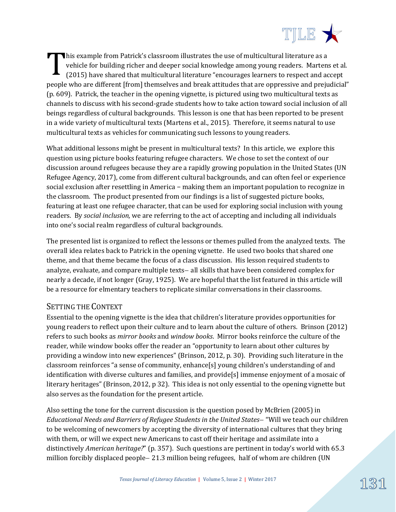

his example from Patrick's classroom illustrates the use of multicultural literature as a vehicle for building richer and deeper social knowledge among young readers. Martens et al. (2015) have shared that multicultural literature "encourages learners to respect and accept people who are different [from] themselves and break attitudes that are oppressive and prejudicial" (p. 609). Patrick, the teacher in the opening vignette, is pictured using two multicultural texts as channels to discuss with his second-grade students how to take action toward social inclusion of all beings regardless of cultural backgrounds. This lesson is one that has been reported to be present in a wide variety of multicultural texts (Martens et al., 2015). Therefore, it seems natural to use multicultural texts as vehicles for communicating such lessons to young readers. T

What additional lessons might be present in multicultural texts? In this article, we explore this question using picture books featuring refugee characters. We chose to set the context of our discussion around refugees because they are a rapidly growing population in the United States (UN Refugee Agency, 2017), come from different cultural backgrounds, and can often feel or experience social exclusion after resettling in America – making them an important population to recognize in the classroom. The product presented from our findings is a list of suggested picture books, featuring at least one refugee character, that can be used for exploring social inclusion with young readers. By *social inclusion,* we are referring to the act of accepting and including all individuals into one's social realm regardless of cultural backgrounds.

The presented list is organized to reflect the lessons or themes pulled from the analyzed texts. The overall idea relates back to Patrick in the opening vignette. He used two books that shared one theme, and that theme became the focus of a class discussion. His lesson required students to analyze, evaluate, and compare multiple texts- all skills that have been considered complex for nearly a decade, if not longer (Gray, 1925). We are hopeful that the list featured in this article will be a resource for elmentary teachers to replicate similar conversations in their classrooms.

#### SETTING THE CONTEXT

Essential to the opening vignette is the idea that children's literature provides opportunities for young readers to reflect upon their culture and to learn about the culture of others. Brinson (2012) refers to such books as *mirror books* and *window books*. Mirror books reinforce the culture of the reader, while window books offer the reader an "opportunity to learn about other cultures by providing a window into new experiences" (Brinson, 2012, p. 30). Providing such literature in the classroom reinforces "a sense of community, enhance[s] young children's understanding of and identification with diverse cultures and families, and provide[s] immense enjoyment of a mosaic of literary heritages" (Brinson, 2012, p 32). This idea is not only essential to the opening vignette but also serves as the foundation for the present article.

Also setting the tone for the current discussion is the question posed by McBrien (2005) in *Educational Needs and Barriers of Refugee Students in the United States- "Will we teach our children* to be welcoming of newcomers by accepting the diversity of international cultures that they bring with them, or will we expect new Americans to cast off their heritage and assimilate into a distinctively *American heritage?*" (p. 357). Such questions are pertinent in today's world with 65.3 million forcibly displaced people  $-21.3$  million being refugees, half of whom are children (UN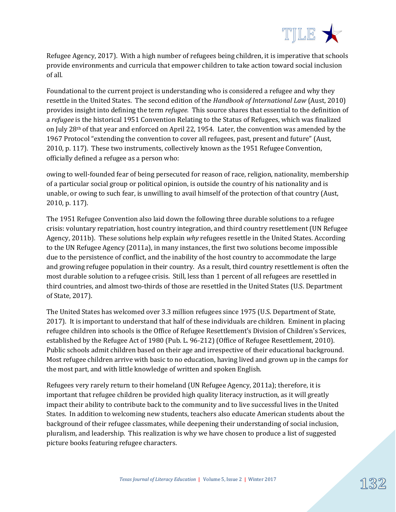

Refugee Agency, 2017). With a high number of refugees being children, it is imperative that schools provide environments and curricula that empower children to take action toward social inclusion of all.

Foundational to the current project is understanding who is considered a refugee and why they resettle in the United States. The second edition of the *Handbook of International Law* (Aust, 2010) provides insight into defining the term *refugee.* This source shares that essential to the definition of a *refugee* is the historical 1951 Convention Relating to the Status of Refugees, which was finalized on July 28th of that year and enforced on April 22, 1954. Later, the convention was amended by the 1967 Protocol "extending the convention to cover all refugees, past, present and future" (Aust, 2010, p. 117). These two instruments, collectively known as the 1951 Refugee Convention, officially defined a refugee as a person who:

owing to well-founded fear of being persecuted for reason of race, religion, nationality, membership of a particular social group or political opinion, is outside the country of his nationality and is unable, or owing to such fear, is unwilling to avail himself of the protection of that country (Aust, 2010, p. 117).

The 1951 Refugee Convention also laid down the following three durable solutions to a refugee crisis: voluntary repatriation, host country integration, and third country resettlement (UN Refugee Agency, 2011b). These solutions help explain *why* refugees resettle in the United States. According to the UN Refugee Agency (2011a), in many instances, the first two solutions become impossible due to the persistence of conflict, and the inability of the host country to accommodate the large and growing refugee population in their country. As a result, third country resettlement is often the most durable solution to a refugee crisis. Still, less than 1 percent of all refugees are resettled in third countries, and almost two-thirds of those are resettled in the United States (U.S. Department of State, 2017).

The United States has welcomed over 3.3 million refugees since 1975 (U.S. Department of State, 2017). It is important to understand that half of these individuals are children. Eminent in placing refugee children into schools is the Office of Refugee Resettlement's Division of Children's Services, established by the Refugee Act of 1980 (Pub. L. 96-212) (Office of Refugee Resettlement, 2010). Public schools admit children based on their age and irrespective of their educational background. Most refugee children arrive with basic to no education, having lived and grown up in the camps for the most part, and with little knowledge of written and spoken English.

Refugees very rarely return to their homeland (UN Refugee Agency, 2011a); therefore, it is important that refugee children be provided high quality literacy instruction, as it will greatly impact their ability to contribute back to the community and to live successful lives in the United States. In addition to welcoming new students, teachers also educate American students about the background of their refugee classmates, while deepening their understanding of social inclusion, pluralism, and leadership. This realization is why we have chosen to produce a list of suggested picture books featuring refugee characters.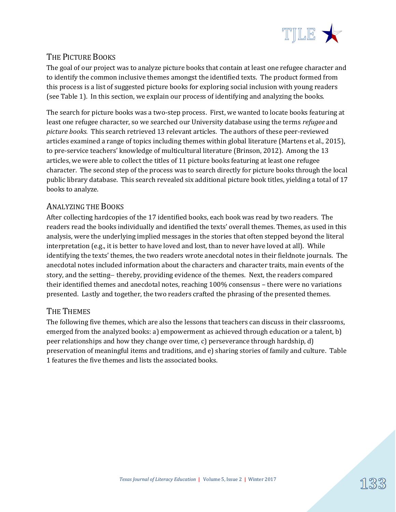

## THE PICTURE BOOKS

The goal of our project was to analyze picture books that contain at least one refugee character and to identify the common inclusive themes amongst the identified texts. The product formed from this process is a list of suggested picture books for exploring social inclusion with young readers (see Table 1). In this section, we explain our process of identifying and analyzing the books.

The search for picture books was a two-step process. First, we wanted to locate books featuring at least one refugee character, so we searched our University database using the terms *refugee* and *picture books.* This search retrieved 13 relevant articles. The authors of these peer-reviewed articles examined a range of topics including themes within global literature (Martens et al., 2015), to pre-service teachers' knowledge of multicultural literature (Brinson, 2012). Among the 13 articles, we were able to collect the titles of 11 picture books featuring at least one refugee character. The second step of the process was to search directly for picture books through the local public library database. This search revealed six additional picture book titles, yielding a total of 17 books to analyze.

### ANALYZING THE BOOKS

After collecting hardcopies of the 17 identified books, each book was read by two readers. The readers read the books individually and identified the texts' overall themes. Themes, as used in this analysis, were the underlying implied messages in the stories that often stepped beyond the literal interpretation (e.g., it is better to have loved and lost, than to never have loved at all). While identifying the texts' themes, the two readers wrote anecdotal notes in their fieldnote journals. The anecdotal notes included information about the characters and character traits, main events of the story, and the setting – thereby, providing evidence of the themes. Next, the readers compared their identified themes and anecdotal notes, reaching 100% consensus – there were no variations presented. Lastly and together, the two readers crafted the phrasing of the presented themes.

### THE THEMES

The following five themes, which are also the lessons that teachers can discuss in their classrooms, emerged from the analyzed books: a) empowerment as achieved through education or a talent, b) peer relationships and how they change over time, c) perseverance through hardship, d) preservation of meaningful items and traditions, and e) sharing stories of family and culture. Table 1 features the five themes and lists the associated books.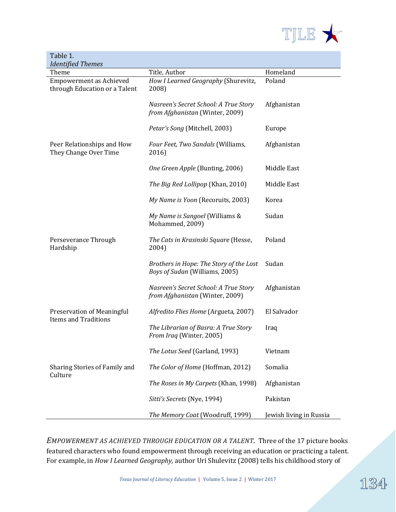

| Table 1.                                                        |                                                                           |                         |
|-----------------------------------------------------------------|---------------------------------------------------------------------------|-------------------------|
| <b>Identified Themes</b>                                        |                                                                           |                         |
| Theme                                                           | Title, Author                                                             | Homeland                |
| <b>Empowerment as Achieved</b><br>through Education or a Talent | How I Learned Geography (Shurevitz,<br>2008)                              | Poland                  |
|                                                                 | Nasreen's Secret School: A True Story<br>from Afghanistan (Winter, 2009)  | Afghanistan             |
|                                                                 | Petar's Song (Mitchell, 2003)                                             | Europe                  |
| Peer Relationships and How<br>They Change Over Time             | Four Feet, Two Sandals (Williams,<br>2016)                                | Afghanistan             |
|                                                                 | One Green Apple (Bunting, 2006)                                           | Middle East             |
|                                                                 | The Big Red Lollipop (Khan, 2010)                                         | Middle East             |
|                                                                 | My Name is Yoon (Recoruits, 2003)                                         | Korea                   |
|                                                                 | My Name is Sangoel (Williams &<br>Mohammed, 2009)                         | Sudan                   |
| Perseverance Through<br>Hardship                                | The Cats in Krasinski Square (Hesse,<br>2004)                             | Poland                  |
|                                                                 | Brothers in Hope: The Story of the Lost<br>Boys of Sudan (Williams, 2005) | Sudan                   |
|                                                                 | Nasreen's Secret School: A True Story<br>from Afghanistan (Winter, 2009)  | Afghanistan             |
| Preservation of Meaningful<br><b>Items and Traditions</b>       | Alfredito Flies Home (Argueta, 2007)                                      | El Salvador             |
|                                                                 | The Librarian of Basra: A True Story<br>From Iraq (Winter, 2005)          | Iraq                    |
|                                                                 | The Lotus Seed (Garland, 1993)                                            | Vietnam                 |
| Sharing Stories of Family and<br>Culture                        | The Color of Home (Hoffman, 2012)                                         | Somalia                 |
|                                                                 | The Roses in My Carpets (Khan, 1998)                                      | Afghanistan             |
|                                                                 | Sitti's Secrets (Nye, 1994)                                               | Pakistan                |
|                                                                 | The Memory Coat (Woodruff, 1999)                                          | Jewish living in Russia |

*EMPOWERMENT AS ACHIEVED THROUGH EDUCATION OR A TALENT.*Three of the 17 picture books featured characters who found empowerment through receiving an education or practicing a talent. For example, in *How I Learned Geography,* author Uri Shulevitz (2008) tells his childhood story of

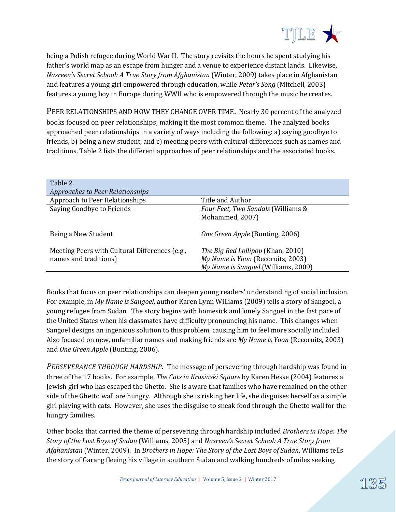

being a Polish refugee during World War II. The story revisits the hours he spent studying his father's world map as an escape from hunger and a venue to experience distant lands. Likewise, *Nasreen's Secret School: A True Story from Afghanistan* (Winter, 2009) takes place in Afghanistan and features a young girl empowered through education, while *Petar's Song* (Mitchell, 2003) features a young boy in Europe during WWII who is empowered through the music he creates.

PEER RELATIONSHIPS AND HOW THEY CHANGE OVER TIME. Nearly 30 percent of the analyzed books focused on peer relationships; making it the most common theme. The analyzed books approached peer relationships in a variety of ways including the following: a) saying goodbye to friends, b) being a new student, and c) meeting peers with cultural differences such as names and traditions. Table 2 lists the different approaches of peer relationships and the associated books.

| Table 2.<br>Approaches to Peer Relationships                            |                                                                                                               |
|-------------------------------------------------------------------------|---------------------------------------------------------------------------------------------------------------|
| Approach to Peer Relationships                                          | Title and Author                                                                                              |
| Saying Goodbye to Friends                                               | Four Feet, Two Sandals (Williams &<br>Mohammed, 2007)                                                         |
| Being a New Student                                                     | <i>One Green Apple</i> (Bunting, 2006)                                                                        |
| Meeting Peers with Cultural Differences (e.g.,<br>names and traditions) | The Big Red Lollipop (Khan, 2010)<br>My Name is Yoon (Recoruits, 2003)<br>My Name is Sangoel (Williams, 2009) |

Books that focus on peer relationships can deepen young readers' understanding of social inclusion. For example, in *My Name is Sangoel,* author Karen Lynn Williams (2009) tells a story of Sangoel, a young refugee from Sudan. The story begins with homesick and lonely Sangoel in the fast pace of the United States when his classmates have difficulty pronouncing his name. This changes when Sangoel designs an ingenious solution to this problem, causing him to feel more socially included. Also focused on new, unfamiliar names and making friends are *My Name is Yoon* (Recoruits, 2003) and *One Green Apple* (Bunting, 2006).

*PERSEVERANCE THROUGH HARDSHIP.* The message of persevering through hardship was found in three of the 17 books. For example, *The Cats in Krasinski Square* by Karen Hesse (2004) features a Jewish girl who has escaped the Ghetto. She is aware that families who have remained on the other side of the Ghetto wall are hungry. Although she is risking her life, she disguises herself as a simple girl playing with cats. However, she uses the disguise to sneak food through the Ghetto wall for the hungry families.

Other books that carried the theme of persevering through hardship included *Brothers in Hope: The Story of the Lost Boys of Sudan* (Williams, 2005) and *Nasreen's Secret School: A True Story from Afghanistan* (Winter, 2009). In *Brothers in Hope: The Story of the Lost Boys of Sudan*, Williams tells the story of Garang fleeing his village in southern Sudan and walking hundreds of miles seeking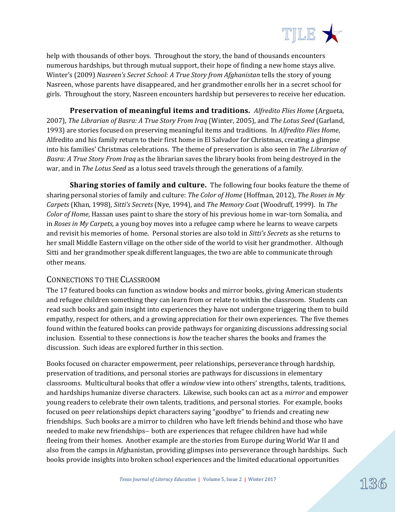

help with thousands of other boys. Throughout the story, the band of thousands encounters numerous hardships, but through mutual support, their hope of finding a new home stays alive. Winter's (2009) *Nasreen's Secret School: A True Story from Afghanistan* tells the story of young Nasreen, whose parents have disappeared, and her grandmother enrolls her in a secret school for girls. Throughout the story, Nasreen encounters hardship but perseveres to receive her education.

**Preservation of meaningful items and traditions.** *Alfredito Flies Home* (Argueta, 2007), *The Librarian of Basra: A True Story From Iraq* (Winter, 2005), and *The Lotus Seed* (Garland, 1993) are stories focused on preserving meaningful items and traditions. In *Alfredito Flies Home*, Alfredito and his family return to their first home in El Salvador for Christmas, creating a glimpse into his families' Christmas celebrations. The theme of preservation is also seen in *The Librarian of Basra: A True Story From Iraq* as the librarian saves the library books from being destroyed in the war, and in *The Lotus Seed* as a lotus seed travels through the generations of a family.

**Sharing stories of family and culture.** The following four books feature the theme of sharing personal stories of family and culture: *The Color of Home* (Hoffman, 2012), *The Roses in My Carpets* (Khan, 1998), *Sitti's Secrets* (Nye, 1994), and *The Memory Coat* (Woodruff, 1999). In *The Color of Home*, Hassan uses paint to share the story of his previous home in war-torn Somalia, and in *Roses in My Carpets,* a young boy moves into a refugee camp where he learns to weave carpets and revisit his memories of home. Personal stories are also told in *Sitti's Secrets* as she returns to her small Middle Eastern village on the other side of the world to visit her grandmother. Although Sitti and her grandmother speak different languages, the two are able to communicate through other means.

#### CONNECTIONS TO THE CLASSROOM

The 17 featured books can function as window books and mirror books, giving American students and refugee children something they can learn from or relate to within the classroom. Students can read such books and gain insight into experiences they have not undergone triggering them to build empathy, respect for others, and a growing appreciation for their own experiences. The five themes found within the featured books can provide pathways for organizing discussions addressing social inclusion. Essential to these connections is *how* the teacher shares the books and frames the discussion. Such ideas are explored further in this section.

Books focused on character empowerment, peer relationships, perseverance through hardship, preservation of traditions, and personal stories are pathways for discussions in elementary classrooms. Multicultural books that offer a *window* view into others' strengths, talents, traditions, and hardships humanize diverse characters. Likewise, such books can act as a *mirror* and empower young readers to celebrate their own talents, traditions, and personal stories. For example, books focused on peer relationships depict characters saying "goodbye" to friends and creating new friendships. Such books are a mirror to children who have left friends behind and those who have needed to make new friendships- both are experiences that refugee children have had while fleeing from their homes. Another example are the stories from Europe during World War II and also from the camps in Afghanistan, providing glimpses into perseverance through hardships. Such books provide insights into broken school experiences and the limited educational opportunities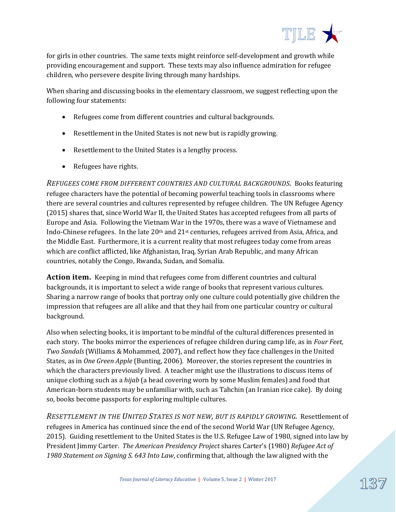

for girls in other countries. The same texts might reinforce self-development and growth while providing encouragement and support. These texts may also influence admiration for refugee children, who persevere despite living through many hardships.

When sharing and discussing books in the elementary classroom, we suggest reflecting upon the following four statements:

- Refugees come from different countries and cultural backgrounds.
- Resettlement in the United States is not new but is rapidly growing.
- Resettlement to the United States is a lengthy process.
- Refugees have rights.

*REFUGEES COME FROM DIFFERENT COUNTRIES AND CULTURAL BACKGROUNDS.*Books featuring refugee characters have the potential of becoming powerful teaching tools in classrooms where there are several countries and cultures represented by refugee children. The UN Refugee Agency (2015) shares that, since World War II, the United States has accepted refugees from all parts of Europe and Asia. Following the Vietnam War in the 1970s, there was a wave of Vietnamese and Indo-Chinese refugees. In the late  $20<sup>th</sup>$  and  $21<sup>st</sup>$  centuries, refugees arrived from Asia, Africa, and the Middle East. Furthermore, it is a current reality that most refugees today come from areas which are conflict afflicted, like Afghanistan, Iraq, Syrian Arab Republic, and many African countries, notably the Congo, Rwanda, Sudan, and Somalia.

**Action item.** Keeping in mind that refugees come from different countries and cultural backgrounds, it is important to select a wide range of books that represent various cultures. Sharing a narrow range of books that portray only one culture could potentially give children the impression that refugees are all alike and that they hail from one particular country or cultural background.

Also when selecting books, it is important to be mindful of the cultural differences presented in each story. The books mirror the experiences of refugee children during camp life, as in *Four Feet, Two Sandals* (Williams & Mohammed, 2007), and reflect how they face challenges in the United States, as in *One Green Apple* (Bunting, 2006)*.* Moreover, the stories represent the countries in which the characters previously lived. A teacher might use the illustrations to discuss items of unique clothing such as a *hijab* (a head covering worn by some Muslim females) and food that American-born students may be unfamiliar with, such as Tahchin (an Iranian rice cake). By doing so, books become passports for exploring multiple cultures.

*RESETTLEMENT IN THE UNITED STATES IS NOT NEW, BUT IS RAPIDLY GROWING.*Resettlement of refugees in America has continued since the end of the second World War (UN Refugee Agency, 2015). Guiding resettlement to the United States is the U.S. Refugee Law of 1980, signed into law by President Jimmy Carter. *The American Presidency Project* shares Carter's (1980) *Refugee Act of 1980 Statement on Signing S. 643 Into Law*, confirming that, although the law aligned with the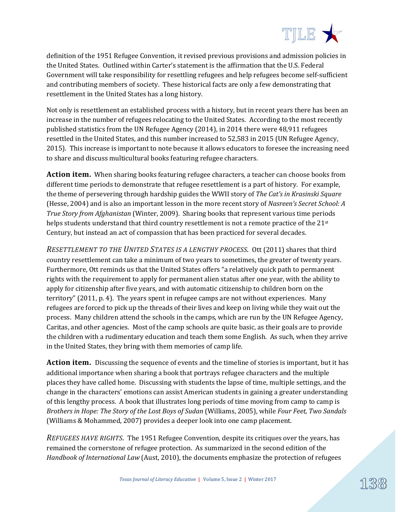

definition of the 1951 Refugee Convention, it revised previous provisions and admission policies in the United States. Outlined within Carter's statement is the affirmation that the U.S. Federal Government will take responsibility for resettling refugees and help refugees become self-sufficient and contributing members of society. These historical facts are only a few demonstrating that resettlement in the United States has a long history.

Not only is resettlement an established process with a history, but in recent years there has been an increase in the number of refugees relocating to the United States. According to the most recently published statistics from the UN Refugee Agency (2014), in 2014 there were 48,911 refugees resettled in the United States, and this number increased to 52,583 in 2015 (UN Refugee Agency, 2015). This increase is important to note because it allows educators to foresee the increasing need to share and discuss multicultural books featuring refugee characters.

**Action item.**When sharing books featuring refugee characters, a teacher can choose books from different time periods to demonstrate that refugee resettlement is a part of history. For example, the theme of persevering through hardship guides the WWII story of *The Cat's in Krasinski Square* (Hesse, 2004) and is also an important lesson in the more recent story of *Nasreen's Secret School: A True Story from Afghanistan* (Winter, 2009). Sharing books that represent various time periods helps students understand that third country resettlement is not a remote practice of the 21<sup>st</sup> Century, but instead an act of compassion that has been practiced for several decades.

*RESETTLEMENT TO THE UNITED STATES IS A LENGTHY PROCESS.* Ott (2011) shares that third country resettlement can take a minimum of two years to sometimes, the greater of twenty years. Furthermore, Ott reminds us that the United States offers "a relatively quick path to permanent rights with the requirement to apply for permanent alien status after one year, with the ability to apply for citizenship after five years, and with automatic citizenship to children born on the territory" (2011, p. 4). The years spent in refugee camps are not without experiences. Many refugees are forced to pick up the threads of their lives and keep on living while they wait out the process. Many children attend the schools in the camps, which are run by the UN Refugee Agency, Caritas, and other agencies. Most of the camp schools are quite basic, as their goals are to provide the children with a rudimentary education and teach them some English. As such, when they arrive in the United States, they bring with them memories of camp life.

**Action item.** Discussing the sequence of events and the timeline of stories is important, but it has additional importance when sharing a book that portrays refugee characters and the multiple places they have called home. Discussing with students the lapse of time, multiple settings, and the change in the characters' emotions can assist American students in gaining a greater understanding of this lengthy process. A book that illustrates long periods of time moving from camp to camp is *Brothers in Hope: The Story of the Lost Boys of Sudan* (Williams, 2005), while *Four Feet, Two Sandals*  (Williams & Mohammed, 2007) provides a deeper look into one camp placement.

*REFUGEES HAVE RIGHTS.* The 1951 Refugee Convention, despite its critiques over the years, has remained the cornerstone of refugee protection. As summarized in the second edition of the *Handbook of International Law* (Aust, 2010), the documents emphasize the protection of refugees

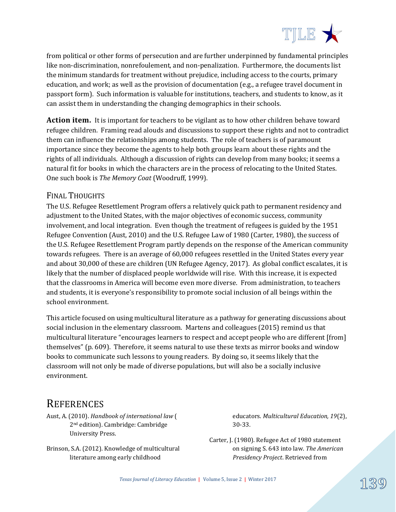

from political or other forms of persecution and are further underpinned by fundamental principles like non-discrimination, nonrefoulement, and non-penalization. Furthermore, the documents list the minimum standards for treatment without prejudice, including access to the courts, primary education, and work; as well as the provision of documentation (e.g., a refugee travel document in passport form). Such information is valuable for institutions, teachers, and students to know, as it can assist them in understanding the changing demographics in their schools.

**Action item.** It is important for teachers to be vigilant as to how other children behave toward refugee children. Framing read alouds and discussions to support these rights and not to contradict them can influence the relationships among students. The role of teachers is of paramount importance since they become the agents to help both groups learn about these rights and the rights of all individuals. Although a discussion of rights can develop from many books; it seems a natural fit for books in which the characters are in the process of relocating to the United States. One such book is *The Memory Coat* (Woodruff, 1999).

#### FINAL THOUGHTS

The U.S. Refugee Resettlement Program offers a relatively quick path to permanent residency and adjustment to the United States, with the major objectives of economic success, community involvement, and local integration. Even though the treatment of refugees is guided by the 1951 Refugee Convention (Aust, 2010) and the U.S. Refugee Law of 1980 (Carter, 1980), the success of the U.S. Refugee Resettlement Program partly depends on the response of the American community towards refugees. There is an average of 60,000 refugees resettled in the United States every year and about 30,000 of these are children (UN Refugee Agency, 2017). As global conflict escalates, it is likely that the number of displaced people worldwide will rise. With this increase, it is expected that the classrooms in America will become even more diverse. From administration, to teachers and students, it is everyone's responsibility to promote social inclusion of all beings within the school environment.

This article focused on using multicultural literature as a pathway for generating discussions about social inclusion in the elementary classroom. Martens and colleagues (2015) remind us that multicultural literature "encourages learners to respect and accept people who are different [from] themselves" (p. 609). Therefore, it seems natural to use these texts as mirror books and window books to communicate such lessons to young readers. By doing so, it seems likely that the classroom will not only be made of diverse populations, but will also be a socially inclusive environment.

# **REFERENCES**

Aust, A. (2010). *Handbook of international law* ( 2nd edition). Cambridge: Cambridge University Press.

Brinson, S.A. (2012). Knowledge of multicultural literature among early childhood

educators. *Multicultural Education, 19*(2), 30-33.

Carter, J. (1980). Refugee Act of 1980 statement on signing S. 643 into law. *The American Presidency Project*. Retrieved from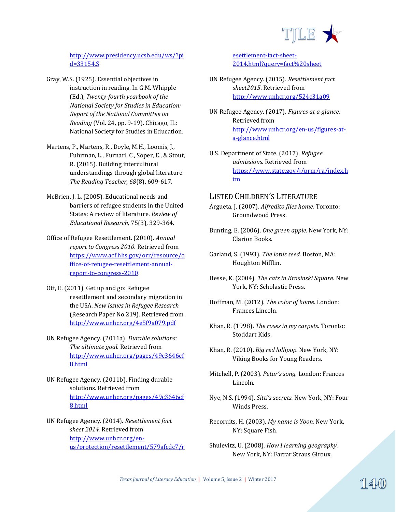

[http://www.presidency.ucsb.edu/ws/?pi](http://www.presidency.ucsb.edu/ws/?pid=33154.S) [d=33154.S](http://www.presidency.ucsb.edu/ws/?pid=33154.S)

- Gray, W.S. (1925). Essential objectives in instruction in reading. In G.M. Whipple (Ed.), *Twenty-fourth yearbook of the National Society for Studies in Education: Report of the National Committee on Reading* (Vol. 24, pp. 9-19). Chicago, IL: National Society for Studies in Education.
- Martens, P., Martens, R., Doyle, M.H., Loomis, J., Fuhrman, L., Furnari, C., Soper, E., & Stout, R. (2015). Building intercultural understandings through global literature. *The Reading Teacher, 68*(8), 609-617.
- McBrien, J. L. (2005). Educational needs and barriers of refugee students in the United States: A review of literature. *Review of Educational Research,* 75(3), 329-364.
- Office of Refugee Resettlement. (2010). *Annual report to Congress 2010*. Retrieved from [https://www.acf.hhs.gov/orr/resource/o](https://www.acf.hhs.gov/orr/resource/office-of-refugee-resettlement-annual-report-to-congress-2010) [ffice-of-refugee-resettlement-annual](https://www.acf.hhs.gov/orr/resource/office-of-refugee-resettlement-annual-report-to-congress-2010)[report-to-congress-2010.](https://www.acf.hhs.gov/orr/resource/office-of-refugee-resettlement-annual-report-to-congress-2010)
- Ott, E. (2011). Get up and go: Refugee resettlement and secondary migration in the USA. *New Issues in Refugee Research* (Research Paper No.219). Retrieved from <http://www.unhcr.org/4e5f9a079.pdf>
- UN Refugee Agency. (2011a). *Durable solutions: The ultimate goal*. Retrieved from [http://www.unhcr.org/pages/49c3646cf](http://www.unhcr.org/pages/49c3646cf8.html) [8.html](http://www.unhcr.org/pages/49c3646cf8.html)
- UN Refugee Agency. (2011b). Finding durable solutions. Retrieved from [http://www.unhcr.org/pages/49c3646cf](http://www.unhcr.org/pages/49c3646cf8.html) [8.html](http://www.unhcr.org/pages/49c3646cf8.html)
- UN Refugee Agency. (2014). *Resettlement fact sheet 2014.* Retrieved from [http://www.unhcr.org/en](http://www.unhcr.org/en-us/protection/resettlement/579afcdc7/resettlement-fact-sheet-2014.html?query=fact%20sheet)[us/protection/resettlement/579afcdc7/r](http://www.unhcr.org/en-us/protection/resettlement/579afcdc7/resettlement-fact-sheet-2014.html?query=fact%20sheet)

[esettlement-fact-sheet-](http://www.unhcr.org/en-us/protection/resettlement/579afcdc7/resettlement-fact-sheet-2014.html?query=fact%20sheet)[2014.html?query=fact%20sheet](http://www.unhcr.org/en-us/protection/resettlement/579afcdc7/resettlement-fact-sheet-2014.html?query=fact%20sheet)

- UN Refugee Agency. (2015). *Resettlement fact sheet2015*. Retrieved from <http://www.unhcr.org/524c31a09>
- UN Refugee Agency. (2017). *Figures at a glance.*  Retrieved from [http://www.unhcr.org/en-us/figures-at](http://www.unhcr.org/en-us/figures-at-a-glance.html)[a-glance.html](http://www.unhcr.org/en-us/figures-at-a-glance.html)
- U.S. Department of State. (2017). *Refugee admissions.* Retrieved from [https://www.state.gov/j/prm/ra/index.h](https://www.state.gov/j/prm/ra/index.htm) [tm](https://www.state.gov/j/prm/ra/index.htm)

#### LISTED CHILDREN'S LITERATURE

- Argueta, J. (2007). *Alfredito flies home.* Toronto: Groundwood Press.
- Bunting, E. (2006). *One green apple.* New York, NY: Clarion Books.
- Garland, S. (1993). *The lotus seed.* Boston, MA: Houghton Mifflin.
- Hesse, K. (2004). *The cats in Krasinski Square.* New York, NY: Scholastic Press.
- Hoffman, M. (2012). *The color of home.* London: Frances Lincoln.
- Khan, R. (1998). *The roses in my carpets.* Toronto: Stoddart Kids.
- Khan, R. (2010). *Big red lollipop.* New York, NY: Viking Books for Young Readers.
- Mitchell, P. (2003). *Petar's song.* London: Frances Lincoln.
- Nye, N.S. (1994). *Sitti's secrets.* New York, NY: Four Winds Press.
- Recoruits, H. (2003). *My name is Yoon.* New York, NY: Square Fish.
- Shulevitz, U. (2008). *How I learning geography.*  New York, NY: Farrar Straus Giroux.